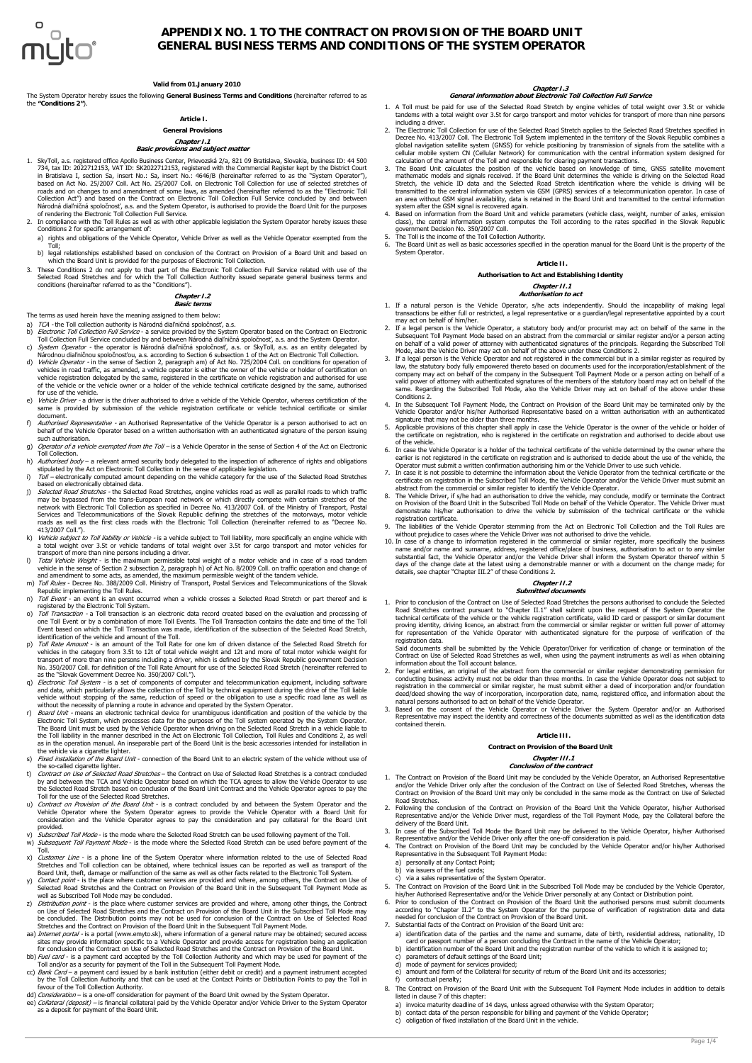

# **APPENDIX NO. 1 TO THE CONTRACT ON PROVISION OF THE BOARD UNIT GENERAL BUSINESS TERMS AND CONDITIONS OF THE SYSTEM OPERATOR**

## **Valid from 01.January 2010**

The System Operator hereby issues the following **General Business Terms and Conditions** (hereinafter referred to as the **"Conditions 2"**).

## **Article I.**

## **General Provisions**

# **Chapter I.1 Basic provisions and subject matter**

- 1. SkyToll, a.s. registered office Apollo Business Center, Prievozská 2/a, 821 09 Bratislava, Slovakia, business ID: 44 500 734, tax ID: 2022712153, VAT ID: SK2022712153, registered with the Commercial Register kept by the District Court<br>in Bratislava I, section Sa, insert No.: Sa, insert No.: 4646/B (hereinafter referred to as the "System Ope
- 2. In compliance with the Toll Rules as well as with other applicable legislation the System Operator hereby issues these Conditions 2 for specific arrangement of: a) rights and obligations of the Vehicle Operator, Vehicle Driver as well as the Vehicle Operator exempted from the
- Toll; b) legal relationships established based on conclusion of the Contract on Provision of a Board Unit and based on
- which the Board Unit is provided for the purposes of Electronic Toll Collection. 3. These Conditions 2 do not apply to that part of the Electronic Toll Collection Full Service related with use of the
- <span id="page-0-0"></span>Selected Road Stretches and for which the Toll Collection Authority issued separate general business terms and conditions (hereinafter referred to as the "Conditions").

## **Chapter I.2 Basic terms**

The terms as used herein have the meaning assigned to them below:

- TCA the Toll collection authority is Národná diaľničná spoločnosť, a.s.
- b) *Electronic Toll Collection Full Service* a service provided by the System Operator based on the Contract on Electronic<br>Toll Collection Full Service corcluded by and between Národná dialrhičná spoločnosť, a.s. and the
- vehicles in road traffic, as amended, a vehicle operator is either the owner of the vehicle or holder of certification on<br>vehicle registration delegated by the same, registered in the certificate on vehicle registration an
- e) *Vehicle Driver* a driver is the driver authorised to drive a vehicle of the Vehicle Operator, whereas certification of the<br>same is provided by submission of the vehicle registration certificate or vehicle technical c document.
- f) Authorised Representative an Authorised Representative of the Vehicle Operator is a person authorised to act on behalf of the Vehicle Operator based on a written authorisation with an authenticated signature of the person issuing such authorisation.
- g) *Operator of a vehicle exempted from the Toll –* is a Vehicle Operator in the sense of Section 4 of the Act on Electronic<br>Toll Collection.<br>h) *Authorised body* a relevant armed security body delegated to the inspectio
- 
- 
- stipulated by the Act on Electronic Toll Collection in the sense of applicable legislation.<br>
i)  $T \omega l$  electronically computed amount depending on the vehicle category for the use of the Selected Road Stretches<br>
based on roads as well as the first class roads with the Electronic Toll Collection (hereinafter referred to as "Decree No.<br>413/2007 Coll ")
- 
- 413/2007 Coll.").<br>
A positive consider to Toll liability, more specifically an engine vehicle with<br>
is vehicle subject to Toll liability, more specifically an engine vehicle with<br>
a total weight over 3.5t or vehicle tande
- <span id="page-0-1"></span>
- 
- Event based on which the Toll Transaction was made, identification of the subsection of the Selected Road Stretch,
- identification of the vehicle and amount of the Toll.<br>
p) Toll Rate Amount is an amount of the Toll Rate for one km of driven distance of the Selected Road Stretch for<br>
p) Toll Rate Amount is an amount of the Toll Rate
- q) *Electronic* Toll System is a set of components of computer and telecommunication equipment, including software and data, which particularly allows the collection of the Toll by technical equipment during the drive o
- Electronic Toll System, which processes data for the purposes of the Toll system operated by the System Operator.<br>The Board Unit must be used by the Vehicle Operator when driving on the Selected Road Stretch in a vehicle
- <span id="page-0-3"></span>the so-called cigarette lighter.
- t) Contract on Use of Selected Road Stretches the Contract on Use of Selected Road Stretches is a contract concluded by and between the TCA and Vehicle Operator based on which the TCA agrees to allow the Vehicle Operator to use<br>the Selected Road Stretch based on conclusion of the Board Unit Contract and the Vehicle Operator agrees to pay
- 
- provided.<br>Subscribed Toll Mode is the mode where the Selected Road Stretch can be used following payment of the Toll.
- v) *Subscribed Toll Mode* is the mode where the Selected Road Stretch can be used following payment of the Toll.<br>w) *Subsequent Toll Payment Mode* is the mode where the Selected Road Stretch can be used before payment x) Customer Line - is a phone line of the System Operator where information related to the use of Selected Road
- Stretches and Toll collection can be obtained, where technical issues can be reported as well as transport of the<br>Board Unit, theft, damage or malfunction of the same as well as other facts related to the Electronic Toll S
- 
- y) Contact point is the place where customer services are provided and where, among others, the Contract on Base of Selected Road Stretches and the Contract on Provision of the Board Unit in the Subsequent Toll Payment
- <span id="page-0-2"></span>
- 
- 
- favour of the Toll Collection Authority.<br>dd) Consideration is a one-off consideration for payment of the Board Unit owned by the System Operator.<br>ee) Collateral (deposit) is financial collateral paid by the Vehicle Ope

## **Chapter I.3 General information about Electronic Toll Collection Full Service**

- 1. A Toll must be paid for use of the Selected Road Stretch by engine vehicles of total weight over 3.5t or vehicle tandems with a total weight over 3.5t for cargo transport and motor vehicles for transport of more than nine persons including a driver
- including a driver.<br>
2. The Electronic Toll Collection for use of the Selected Road Stretch applies to the Selected Road Stretches specified in<br>
2. The Electronic Toll System implemented in the territory of the Slovak Repu
- 3. The Board Unit calculates the position of the vehicle based on knowledge of time, GNSS satellite movement mathematic models and signals received. If the Board Unit determines the vehicle is driving on the Selected Road
- system after the GSM signal is recovered again. 4. Based on information from the Board Unit and vehicle parameters (vehicle class, weight, number of axles, emission class), the central information system computes the Toll according to the rates specified in the Slovak Republic<br>5. The Toll is the income of the Toll Collection Authority.<br>5. The Toll is the income of the Toll Collection
- System Operator.

## **Article II. Authorisation to Act and Establishing Identity**

## **Chapter II.1**

## **Authorisation to act**

- 1. If a natural person is the Vehicle Operator, s/he acts independently. Should the incapability of making legal transactions be either full or restricted, a legal representative or a guardian/legal representative appointed by a court may act on behalf of him/her.
- 2. If a legal person is the Vehicle Operator, a statutory body and/or procurist may act on behalf of the same in the Subsequent Toll Payment Mode based on an abstract from the commercial or similar register and/or a person
- 3. If a legal person is the Vehicle Operator and not registered in the commercial but in a similar register as required by law, the statutory body fully empowered thereto based on documents used for the incorporation/estab
- 4. In the Subsequent Toll Payment Mode, the Contract on Provision of the Board Unit may be terminated only by the Vehicle Operator and/or his/her Authorised Representative based on a written authorisation with an authent signature that may not be older than three months.
- 5. Applicable provisions of this chapter shall apply in case the Vehicle Operator is the owner of the vehicle or holder of<br>the certificate on registration, who is registered in the certificate on registration and authorise
- of the vehicle. 6. In case the Vehicle Operator is a holder of the technical certificate of the vehicle determined by the owner where the earlier is not registered in the certificate on registration and is authorised to decide about the use of the vehicle, the<br>Operator must submit a written confirmation authorising him or the Vehicle Driver to use such vehic
- 7. In case it is not possible to determine the information about the Vehicle Operator from the technical certificate or the
- certificate on registration in the Subscribed Toll Mode, the Vehicle Operator and/or the Vehicle Driver must submit an<br>abstract from the commercial or similar register to identify the Vehicle Operator.<br>B. The Vehicle Drive demonstrate his/her authorisation to drive the vehicle by submission of the technical certificate or the vehicle registration certificate.
- 
- 9. The liabilities of the Vehicle Operator stemming from the Act on Electronic Toll Collection and the Toll Rules are<br>without prejudice to cases where the Vehicle Driver was not authorised to drive the vehicle.<br>10. In case days of the change date at the latest using a demonstrable manner or with a document on the change made; for details, see chapter "[Chapter III.2](#page-1-0)" of these Conditions 2.

## **Chapter II.2 Submitted documents**

1. Prior to conclusion of the Contract on Use of Selected Road Stretches the persons authorised to conclude the Selected.<br>Road Stretches contract pursuant to "[Chapter II.1"](#page-0-0) shall submit upon the request of the System Opera proving identity, driving licence, an abstract from the commercial or similar register or written full power of attorney<br>for representation of the Vehicle Operator with authenticated signature for the purpose of verificati registration data.<br>Said documents

Said documents shall be submitted by the Vehicle Operator/Driver for verification of change or termination of the<br>Contract on Use of Selected Road Stretches as well, when using the payment instruments as well as when obtai

- conducting business activity must not be older than three months. In case the Vehicle Operator does not subject to<br>registration in the commercial or similar register, he must submit either a deed of incorporation and/or fo
	- Representative may inspect the identity and correctness of the documents submitted as well as the identification data contained therein.

## **Article III.**

## **Contract on Provision of the Board Unit**

#### **Chapter III.1 Conclusion of the contract**

- 1. The Contract on Provision of the Board Unit may be concluded by the Vehicle Operator, an Authorised Representative and/or the Vehicle Driver only after the conclusion of the Contract on Use of Selected Road Stretches, whereas the Contract on Provision of the Board Unit may only be concluded in the same mode as the Contract on Use of Selected<br>Contract on Provision of the Board Unit may only be concluded in the same mode as the Contract on Use of Sel
- Road Stretches.<br>2. Following the conclusion of the Contract on Provision of the Board Unit the Vehicle Operator, his/her Authorised<br>1. Representative and/or the Vehicle Driver must, regardless of the Toll Payment Mode, pay
- delivery of the Board Unit.
- 3. In case of the Subscribed Toll Mode the Board Unit may be delivered to the Vehicle Operator, his/her Authorised<br>Representative and/or the Vehicle Driver only after the one-off consideration is paid.<br>The Contract on Prov
- a) personally at any Contact Point;
	- b) via issuers of the fuel cards;
	-
- c) via a sales representative of the System Operator. 5. The Contract on Provision of the Board Unit in the Subscribed Toll Mode may be concluded by the Vehicle Operator,
- 
- his/her Authorised Representative and/or the Vehicle Diriver personally at any Contact or Distribution point.<br>
6. Prior to conclusion of the Contract on Provision of the Board Unit the authorised persons must submit docume
- a) identification data of the parties and the name and surname, date of birth, residential address, nationality, ID
- card or passport number of a person concluding the Contract in the name of the Vehicle Operator;<br>
b) identification number of the Board Unit and the registration number of the vehicle to which it is assigned to;<br>
c) parame
- 
- 
- f) contractual penalty;
- 8. The Contract on Provision of the Board Unit with the Subsequent Toll Payment Mode includes in addition to details listed in clause [7](#page-0-2) of this chapter:
	- a) invoice maturity deadline of 14 days, unless agreed otherwise with the System Operator;<br>b) contact data of the person responsible for billing and payment of the Vehicle Operator;<br>c) obligation of fixed installation of t
	-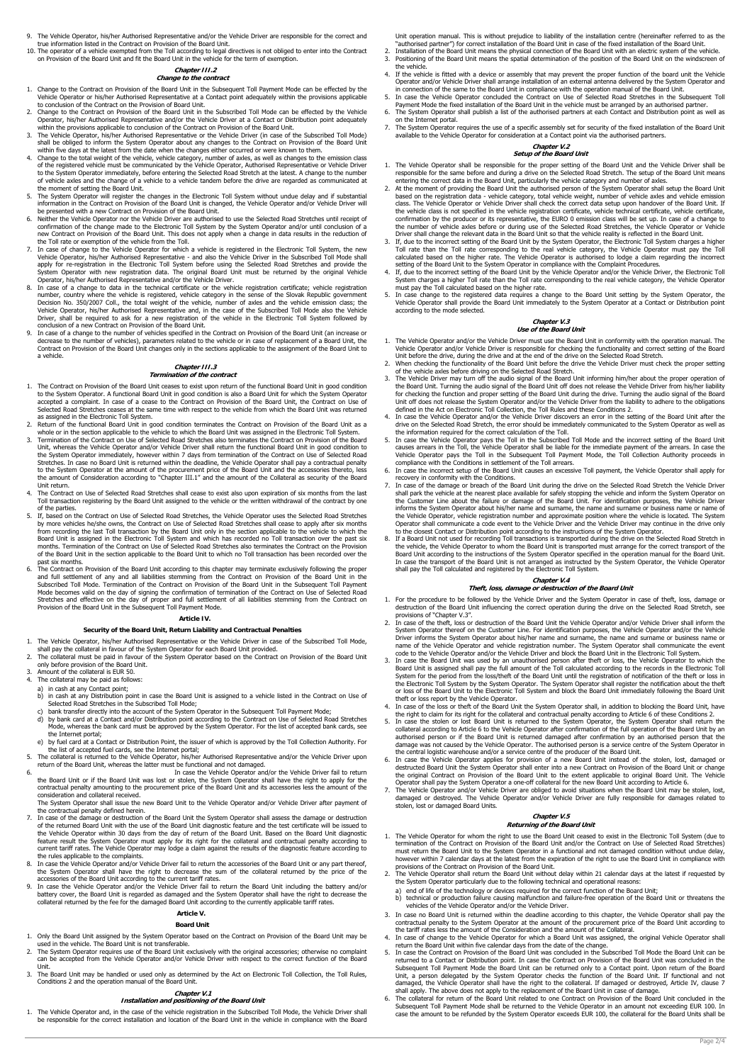- 9. The Vehicle Operator, his/her Authorised Representative and/or the Vehicle Driver are responsible for the correct and
- true information listed in the Contract on Provision of the Board Unit.<br>10. The operator of a vehicle exempted from the Toll according to legal directives is not obliged to enter into the Contract<br>On Provision of the Board

# **Chapter III.2 Change to the contract**

- <span id="page-1-0"></span>1. Change to the Contract on Provision of the Board Unit in the Subsequent Toll Payment Mode can be effected by the Vehicle Operator or his/her Authorised Representative at a Contact point adequately within the provisions applicable<br>to conclusion of the Contract on the Provision of Board Unit.
- 
- 
- to conclusion of the Contract on the Provision of Board Unit in the Subscribed Toll Mode can be effected by the Vehicle<br>2. Change to the Contract on Provision of the Board Unit in the Subscribed Toll Mode can be effected b
- 
- information in the Contract on Provision of the Board Unit is changed, the Vehicle Operator and/or Vehicle Driver will<br>be presented with a new Contract on Provision of the Board Unit.<br>6. Neither the Vehicle Operator nor th the Toll rate or exemption of the vehicle from the Toll.<br>
T. In case of change to the Vehicle Operator for which a vehicle is registered in the Electronic Toll System, the new
- 7. In case of change to the Vehicle Operator for which a vehicle is registered in the Electronic Toll System, the new vehicle Operator, his/her Authorised Representative and also the Vehicle Depresentative and provide sh
- Driver, shall be required to ask for a new registration of the vehicle in the Electronic Toll System followed by
- <span id="page-1-1"></span>conclusion of a new Contract on Provision of the Board Unit. 9. In case of a change to the number of vehicles specified in the Contract on Provision of the Board Unit (an increase or decrease to the number of vehicles), parameters related to the vehicle or in case of replacement of a Board Unit, the Contract on Provision of the Board Unit changes only in the sections applicable to the assignment of the Board Unit to a vehicle.

#### **Chapter III.3 Termination of the contract**

- 1. The Contract on Provision of the Board Unit ceases to exist upon return of the functional Board Unit in good condition to the System Operator. A functional Board Unit in good condition is also a Board Unit for which the System Operator<br>accepted a complaint. In case of a cease to the Contract on Provision of the Board Unit, the Contract on Selected Road Stretches ceases at the same time with respect to the vehicle from which the Board Unit was returned as assigned in the Electronic Toll System.
- 
- 2. Return of the functional Board Unit in good condition terminates the Contract on Provision of the Board Unit as a<br>whole or in the section applicable to the vehicle to which the Board Unit was assigned in the Electronic the System Operator immediately, however within 7 days from termination of the Contract on Use of Selected Road<br>Stretches. In case no Board Unit is returned within the deadline, the Vehicle Operator shall pay a contractual
- 4. The Contract on Use of Selected Road Stretches shall cease to exist also upon expiration of six months from the last Toll transaction registering by the Board Unit assigned to the vehicle or the written withdrawal of the contract by one<br>of the parties
- of the parties.<br>
If, based on the Contract on Use of Selected Road Stretches, the Vehicle Operator uses the Selected Road Stretches<br>
Iby more vehicles he/she owns, the Contract on Use of Selected Road Stretches shall cease of the Board Unit in the section applicable to the Board Unit to which no Toll transaction has been recorded over the past six months.
- 6. The Contract on Provision of the Board Unit according to this chapter may terminate exclusively following the proper and full existence of any and all liabilities stemming from the Contract on Provision of the Board Uni

## **Article IV.**

## **Security of the Board Unit, Return Liability and Contractual Penalties**

- <span id="page-1-2"></span>1. The Vehicle Operator, his/her Authorised Representative or the Vehicle Driver in case of the Subscribed Toll Mode,<br>shall pay the collateral in favour of the System Operator for each Board Unit provided.
- 2. The collateral must be paid in favour of the System Operator based on the Contract on Provision of the Board Unit
- only before provision of the Board Unit. 3. Amount of the collateral is EUR 50.
- The collateral may be paid as follows:
- 
- 
- a) in cash at any Contact point;<br>
b) in cash at any Distribution point in case the Board Unit is assigned to a vehicle listed in the Contract on Use of<br>
Selected Road Stretches in the Subscribed Toll Mode;<br>
c) bank transfe
- the Internet portal; e) by fuel card at a Contact or Distribution Point, the issuer of which is approved by the Toll Collection Authority. For the list of accepted fuel cards, see the Internet portal;
- 
- 5. The collateral is returned to the Vehicle Operator, his/her Authorised Representative and/or the Vehicle Driver upon<br>6. return of the Board Unit, whereas the latter must be functional and not damaged.<br>6. Faces the Vehic contractual penalty amounting to the procurement price of the Board Unit and its accessories less the amount of the consideration and collateral received.
- 
- The System Operator shall issue the new Board Unit to the Vehicle Operator and/or Vehicle Driver after payment of<br>the contractual penalty defined herein.<br>7. In case of the damage or destruction of the Board Unit the System
- the rules applicable to the complaints.<br>
B. In case the Vehicle Operator and/or Vehicle Driver fail to return the accessories of the Board Unit or any part thereof,<br>
the System Operator shall have the right to decrease the
- battery cover, the Board Unit is regarded as damaged and the System Operator shall have the right to decrease the collateral returned by the fee for the damaged Board Unit according to the currently applicable tariff rates.

## **Article V. Board Unit**

- <span id="page-1-3"></span>1. Only the Board Unit assigned by the System Operator based on the Contract on Provision of the Board Unit may be used in the vehicle. The Board Unit is not transferable.
- The System Operator requires use of the Board Unit exclusively with the original accessories; otherwise no complaint<br>can be accepted from the Vehicle Operator and/or Vehicle Driver with respect to the correct function of t
- Unit.<br>3. The Board Unit may be handled or used only as determined by the Act on Electronic Toll Collection, the Toll Rules,<br>Conditions 2 and the operation manual of the Board Unit.

### **Chapter V.1 Installation and positioning of the Board Unit**

1. The Vehicle Operator and, in the case of the vehicle registration in the Subscribed Toll Mode, the Vehicle Driver shall<br>be responsible for the correct installation and location of the Board Unit in the vehicle in compli

Unit operation manual. This is without prejudice to liability of the installation centre (hereinafter referred to as the "authorised partner") for correct installation of the Board Unit in case of the fixed installation of

- 
- 4. If the vehicle is fitted with a device or assembly that may prevent the proper function of the board unit the Vehicle<br>Operator and/or Vehicle Driver shall arrange installation of an external antenna delivered by the Sys
- . Payment Mode the fixed installation of the Board Unit in the vehicle must be arranged by an authorised partner<br>6. The System Operator shall publish a list of the authorised partners at each Contact and Distribution point
- on the Internet portal.
- 7. The System Operator requires the use of a specific assembly set for security of the fixed installation of the Board Unit available to the Vehicle Operator for consideration at a Contact point via the authorised partners.

#### **Chapter V.2 Setup of the Board Unit**

- 1. The Vehicle Operator shall be responsible for the proper setting of the Board Unit and the Vehicle Driver shall be responsible for the same before and during a drive on the Selected Road Stretch. The setup of the Board
- based on the registration data vehicle category, total vehicle weight, number of vehicle axles and vehicle emission<br>class. The Vehicle Operator or Vehicle Driver shall check the correct data setup upon handover of the Bo the vehicle class is not specified in the vehicle registration certificate, vehicle technical certificate, vehicle certificate, the europe confirmation by the producer or its representative, the EURO 0 emission class will
- Toll rate than the Toll rate corresponding to the real vehicle category, the Vehicle Caractor must pay the Toll calculated based on the higher rate. The Vehicle Operator is authorised to lodge a claim regarding the incorre
- 
- according to the mode selected.
- 1. The Vehicle Operator and/or the Vehicle Driver must use the Board Unit in conformity with the operation manual. The
- 
- defined in the Act on Electronic Toll Collection, the Toll Rules and these Conditions 2.
- 
- 4. In case the Vehicle Operator and/or the Vehicle Driver discovers an error in the setting of the Board Unit after the drive on the Sleeted Road Stretch, the error should be immediately communicated to the System Operator
- 
- compliance with the Conditions in settlement of the Toll arrears.<br>
C. In case the incorrect setup of the Board Unit causes an excessive Toll payment, the Vehicle Operator shall apply for<br>
C. In case of the denage or breach the Vehicle Operator, vehicle registration number and approximate position where the vehicle operator shall communicate a code event to the Vehicle Driver and the Vehicle Driver may continue in the drive only to the dosest
- Board Unit according to the instructions of the System Operator specified in the operation manual for the Board Unit.<br>In case the transport of the Board Unit is not arranged as instructed by the System Operator, the Vehicl

# **Chapter V.4 Theft, loss, damage or destruction of the Board Unit**

- 1. For the procedure to be followed by the Vehicle Driver and the System Operator in case of theft, loss, damage or destruction of the Board Unit influencing the correct operation during the drive on the Selected Road Stretch, see
- provisions of "[Chapter V.3"](#page-1-1). 2. In case of the theft, loss or destruction of the Board Unit the Vehicle Operator and/or Vehicle Driver shall inform the System Operator thereof on the Customer Line. For identification purposes, the Vehicle Operator and/or the Vehicle<br>Driver informs the System Operator about his/her name and surname, the name and surname or business name or
- code to the Vehicle Operator and/or the Vehicle Driver and block the Board Unit in the Electronic Toll System. 3. In case the Board Unit was used by an unauthorised person after theft or loss, the Vehicle Operator to which the Board Unit is assigned shall pay the full amount of the Toll calculated according to the records in the E
- theft or loss report by the Vehicle Operator.<br>In case of the loss or theft of the Board Unit the System Operator shall, in addition to blocking the Board Unit, have
- 4. In case of the loss or theft of the Board Unit the System Operator shall, in addition to blocking the Board Unit, have<br>the right to claim for its right for the collateral and contactual penalty according to Article [6](#page-1-2) o
- the original Contract on Provision of the Board Unit to the extent applicable to original Board Unit. The Vehicle<br>Operator shall pay the System Operator a one-off collateral for the new Board Unit according to Article [6](#page-1-2).<br>T
- damaged or destroyed. The Vehicle Operator and/or Vehicle Driver are fully responsible for damages related to stolen, lost or damaged Board Units.

### **Chapter V.5 Returning of the Board Unit**

- 1. The Vehicle Operator for whom the right to use the Board Unit ceased to exist in the Electronic Toll System (due to<br>termination of the Electronic on the Contract on Provision of the Doard Unit and/or the Contract on Use however within 7 calendar days at the latest from the expiration of the right to use the Board Unit in compliance with provisions of the Contract on Provision of the Board Unit.
- 2. The Vehicle Operator shall return the Board Unit without delay within 21 calendar days at the latest if requested by<br>the System Operator particularly due to the following technical and operational reasons:<br>a) end of lif
	-
	-
- vehicles of the Vehicle Operator and/or the Vehicle Driver.<br>3. In case no Board Unit is returned within the deadline according to this chapter, the Vehicle Operator shall pay the<br>contractual penalty to the System Operator
- 
- 4. In case of change to the Vehicle Operator for which a Board Unit was assigned, the original Vehicle Operator shall<br>return the Board Unit within five calendar days from the date of the change.<br>5. In case the Contract on
- damaged, the Vehicle Operator shall have the right to the collateral. If damaged or destroyed, Article IV, clause 7<br>shall apply. The above does not apply to the replacement of the Board Unit in case of damage.<br>Shall apply.
- **Chapter V.3 Use of the Board Unit** 
	-
	- Vehicle Operator and/or Vehicle Diver is responsible for checking the functionality and correct setting of the Board<br>Unit before the drive, during the drive and at the end of the drive on the Selected Road Stretch.<br>2. When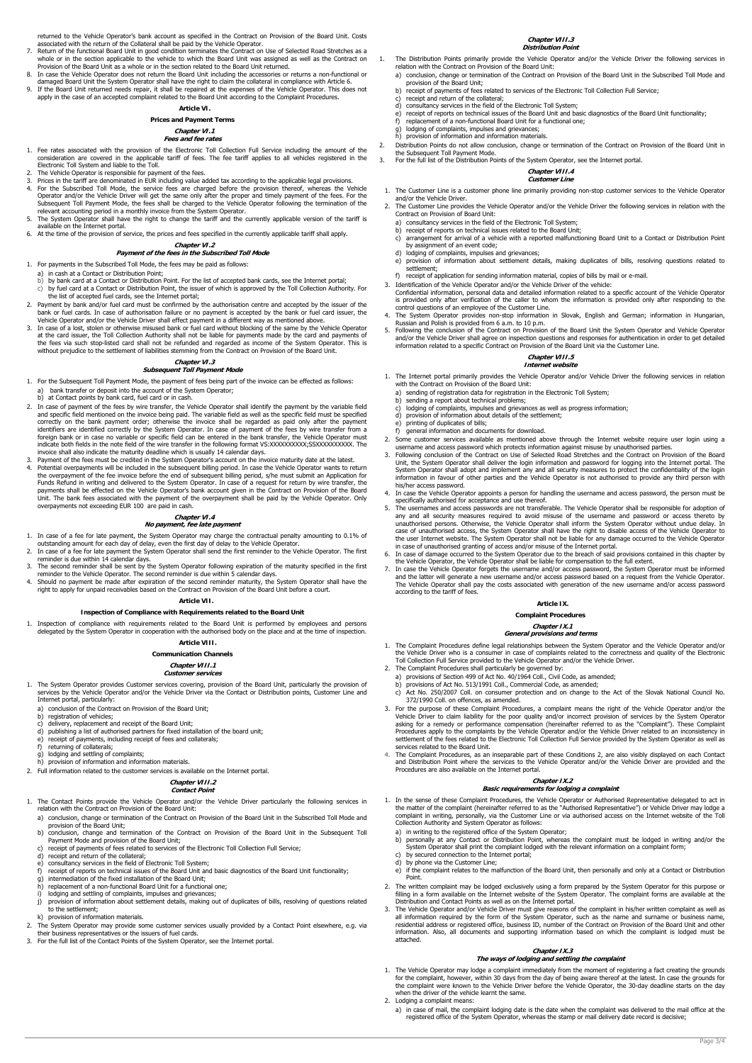returned to the Vehicle Operator's bank account as specified in the Contract on Provision of the Board Unit. Costs

- associated with the return of the Collateral shall be paid by the Vehicle Operator.<br>The New Vehicle of the Collateral shall be paid by the Vehicle Operator on Use of Selected Road Stretches as a<br>whole or in the section app
- 
- **Article VI.**

# **Prices and Payment Terms**

# **Chapter VI.1 Fees and fee rates**

- 1. Fee rates associated with the provision of the Electronic Toll Collection Full Service including the amount of the consideration are covered in the applicable tariff of fees. The fee tariff applies to all vehicles registered in the Epictophe tariff of fees. The fee tariff applies to all vehicles registered in the Epictophe tariff of fe
- 
- 
- Electronic Toll System and liable to the Toll.<br>
2. The Vehicle Operator is responsible for payment of the fees.<br>
3. Prices in the tariff are denominated in EUR including value added tax according to the applicable legal pr
- 
- 

## **Chapter VI.2**

- **Payment of the fees in the Subscribed Toll Mode**
- 1. For payments in the Subscribed Toll Mode, the fees may be paid as follows:
- a) in cash at a Contact or Distribution Point; b) by bank card at a Contact or Distribution Point. For the list of accepted bank cards, see the Internet portal;
- c) by fuel card at a Contact or Distribution Point, the issuer of which is approved by the Toll Collection Authority. For the list of accepted fuel cards, see the Internet portal; 2. Payment by bank and/or fuel card must be confirmed by the authorisation centre and accepted by the issuer of the
- bank or fuel cards. In case of authorisation failure or no payment is accepted by the bank or fuel card issuer, the
- Vehicle Operator and/or the Vehicle Driver shall effect payment in a different way as mentioned above.<br>3. In case of a lost, stolen or otherwise misused bank or fuel card without blocking of the same by the Vehicle Operato

#### **Chapter VI.3 Subsequent Toll Payment Mode**

- 1. For the Subsequent Toll Payment Mode, the payment of fees being part of the invoice can be effected as follows: a) bank transfer or deposit into the account of the System Operator;
- b) at Contact points by bank card, fuel card or in cash.
- 2. In case of payment of the fees by wire transfer, the Vehicle Operator shall identify the payment by the variable field and specific field mentioned on the invoice being paid. The variable field as well as the specific f
- indicate both fields in the note field of the wire transfer in the following format VS:XXXXXXXXXX;SSXXXXXXXXXX. The invoice shall also indicate the maturity deadline which is usually 14 calendar days. 3. Payment of the fees must be credited in the System Operator's account on the invoice maturity date at the latest. 4. Potential overpayments will be included in the subsequent billing period. In case the Vehicle Operator wants to return the overpayment of the fee invoice before the end of subsequent billing period, s/he must submit an Application for Funds Refund in writing and delivered to the System Operator. In case of a request for return by wire transfer, the payments shall be effected on the Vehicle Operator's bank account given in the Contract on Provision of the Board Unit. The bank fees associated with the payment of the overpayment shall be paid by the Vehicle Operator. Only overpayments not exceeding EUR 100 are paid in cash.

### **Chapter VI.4 No payment, fee late payment**

- 1. In case of a fee for late payment, the System Operator may charge the contractual penalty amounting to 0.1% of
- 
- outstanding amount for each day of eleay to the Vehicle Operator. The such and one of a fee for late payment the System Operator Shall send the first reminder to the Vehicle Operator. The first reminder is due within 14 ca
- 
- 

## **Article VII.**

## **Inspection of Compliance with Requirements related to the Board Unit**

1. Inspection of compliance with requirements related to the Board Unit is performed by employees and persons<br>delegated by the System Operator in cooperation with the authorised body on the place and at the time of inspect

## **Article VIII. Communication Channels**

### **Chapter VIII.1 Customer services**

- 1. The System Operator provides Customer services covering, provision of the Board Unit, particularly the provision of services by the Vehicle Operator and/or the Vehicle Driver via the Contact or Distribution points, Customer Line and Internet portal, particularly:
	-
	-
	- a) conclusion of the Contract on Provision of the Board Unit;<br>b) registration of vehicles;<br>c) delivery, replacement and receipt of the Board Unit;<br>d) publishing a list of authorised partners for fixed installation of the b
	- e) passioning a list of dationsed partners for medi including receipt of fees and collaterals;
	-
	-
	- f) returning of collaterals; g) lodging and settling of complaints; h) provision of information and information materials.
- 2. Full information related to the customer services is available on the Internet portal.

# **Chapter VIII.2 Contact Point**

- 1. The Contact Points provide the Vehicle Operator and/or the Vehicle Driver particularly the following services in relation with the Contract on Provision of the Board Unit:
	- a) conclusion, change or termination of the Contract on Provision of the Board Unit in the Subscribed Toll Mode and provision of the Board Unit;
	- b) conclusion, change and termination of the Contract on Provision of the Board Unit in the Subsequent Toll Payment Mode and provision of the Board Unit;
	- c) receipt of payments of fees related to services of the Electronic Toll Collection Full Service;
	- receipt and return of the collateral;
	-
	- e) consultancy services in the field of Electronic Toll System;<br>f) receipt of reports on technical issues of the Board Unit and basic diagnostics of the Board Unit functionality;<br>g) intermediation of the fixed installation
	-
	-
	- i) lodging and settling of complaints, impulses and grievances;<br>i) provision of information about settlement details, making of provision of information about settlement details, making out of duplicates of bills, resolving of questions related<br>to the cettlement to the settl

k) provision of information materials.

- 2. The System Operator may provide some customer services usually provided by a Contact Point elsewhere, e.g. via their business representatives or the issuers of fuel cards.
- 3. For the full list of the Contact Points of the System Operator, see the Internet portal.

#### **Chapter VIII.3 Distribution Point**

- 1. The Distribution Points primarily provide the Vehicle Operator and/or the Vehicle Driver the following services in relation with the Contract on Provision of the Board Unit: a) conclusion, change or termination of the Contract on Provision of the Board Unit in the Subscribed Toll Mode and
	- provision of the Board Unit; b) receipt of payments of fees related to services of the Electronic Toll Collection Full Service;
	-
	-
	- c) receipt and return of the collateral;<br>d) consultancy services in the field of the Electronic Toll System;<br>e) receipt of reports on technical issues of the Board Unit and basic diagnostics of the Board Unit functionality
	-
	- g) lodging of complaints, impulses and grievances; h) provision of information and information materials.
	-
- Distribution Points do not allow conclusion, change or termination of the Contract on Provision of the Board Unit in 2.<br>The Subsequent Toll Payment Mode.<br>3. For the full list of the Distribution Points of the System Operat
- 

#### **Chapter VIII.4 Customer Line**

- 1. The Customer Line is a customer phone line primarily providing non-stop customer services to the Vehicle Operator<br>and/or the Vehicle Driver.<br>2. The Customer Line provides the Vehicle Operator and/or the Vehicle Driver t
	- Contract on Provision of Board Unit:
	-
	- a) consultancy services in the field of the Electronic Toll System;<br>b) receipt of reports on technical issues related to the Board Unit;<br>c) arrangement for arrival of a vehicle with a reported malfunctioning Board Unit to by assignment of an event code;
	- d) lodging of complaints, impulses and grievances;<br>e) provision of information about settlement de e) provision of information about settlement details, making duplicates of bills, resolving questions related to
	- provision :<br>settlement; f) receipt of application for sending information material, copies of bills by mail or e-
- 3. Identification of the Vehicle Operator and/or the Vehicle Driver of the vehicle:
- Confidential information, personal data and detailed information related to a specific account of the Vehicle Operator<br>is provided only after verification of the caller to whom the information is provided only after respon
- 5. Following the conclusion of the Contract on Provision of the Board Unit the System Operator and Vehicle Operator
- and/or the Vehicle Driver shall agree on inspection questions and responses for authentication in order to get detailed information related to a specific Contract on Provision of the Board Unit via the Customer Line.

## **Chapter VIII.5 Internet website**

- 1. The Internet portal primarily provides the Vehicle Operator and/or Vehicle Driver the following services in relation with the Contract on Provision of the Board Unit:
	- a) sending of registration data for registration in the Electronic Toll System; b) sending a report about technical problems;
	-
	- c) lodging of complaints, impulses and grievances as well as progress information;<br>d) provision of information about details of the settlement; provision of information about details of the settlement;
	- printing of duplicates of bills;
	-

2. The Complaint Procedures shall particularly be governed by:

372/1990 Coll. on offences, as amended.

by secured connection to the Internet portal: d) by phone via the Customer Line;<br>e) if the complaint relates to the ma

when the driver of the vehicle learnt the same.

Point.

attached.

- 
- f) general information and documents for download.<br>2. Some customer services available as mentioned above through the Internet website require user login using a<br>3. Following conclusion of the Contract on Use of Selected R
- Unit, the System Operator shall deliver the login information and password for logging into the Internet portal. The System Operator shall adopt and implement any and all security measures to protect the confidentiality of
- 5. The usernames and access passwords are not transferable. The Vehicle Operator shall be responsible for adoption of
- any and all security measures required to avoid misuse of the username and password or access thereto by<br>unauthorised persons. Otherwise, the Vehicle Operator shall inform the System Operator without undue delay. In<br>case o in case of unauthorised granting of access and/or misuse of the Internet portal.
- 6. In case of damage occurred to the System Operator due to the breach of said provisions contained in this chapter by
- the Vehicle Operator, the Vehicle Operator shall be liable for compensation to the full extent. The case the Vehicle Operator forgets the username and/or access password, the System Operator must be informed<br>and the latter

## **Article IX.**

## **Complaint Procedures**

# **Chapter IX.1 General provisions and terms**

1. The Complaint Procedures define legal relationships between the System Operator and the Vehicle Operator and/or<br>the Vehicle Driver who is a consumer in case of complaints related to the correctness and quality of the El

a) provisions of Section 499 of Act No. 40/1964 Coll., Civil Code, as amended;<br>b) provisions of Act No. 513/1991 Coll., Commercial Code, as amended;<br>c) Act No. 250/2007 Coll. on consumer protection and on change to the Act

3. For the purpose of these Complaint Procedures, a complaint means the right of the Vehicle Operator and/or the<br>Vehicle Driver to claim liability for the poor quality and/or incorrect provision of services by the System O

asking for a remedy or performance compensation (hereinafter referred to as the "Complaint"). These Complaints by the Vehicle Operator and/or the Vehicle Driver related to an inconsistency in settlement of the fees related

**Chapter IX.2 Basic requirements for lodging a complaint**  1. In the sense of these Complaint Procedures, the Vehicle Operator or Authorised Representative delegated to act in<br>the matter of the complaint (hereinater referred to as the "Authorised Representative") or Vehicle Driver

a) in writing to the registered office of the System Operator;<br>b) personally at any Contact or Distribution Point, whereas the complaint must be lodged in writing and/or the<br>System Operator shall print the complaint lodged

if the complaint relates to the malfunction of the Board Unit, then personally and only at a Contact or Distribution

2. The written complaint may be lodged exclusively using a form prepared by the System Operator for this purpose or filling in a form available on the Internet website of the System Operator. The complaint forms are available at the Distribution and Contact Points as well as<br>3. The Vehicle Operator and/or Vehicle Diver must give reasons of the complaint in his/her written complaint as well as<br>3. The Vehicle Operator and/or Vehicle Diver must give reas

**Chapter IX.3 The ways of lodging and settling the complaint**  1. The Vehicle Operator may lodge a complaint immediately from the moment of registering a fact creating the grounds<br>60 for the complaint, however, within 30 days from the day of being aware thereof at the latest. In case

a Lodging a complaint means:<br>a) in case of mail, the complaint lodging date is the date when the complaint was delivered to the mail office at the<br>registered office of the System Operator, whereas the stamp or mail deliver

Page 3/4